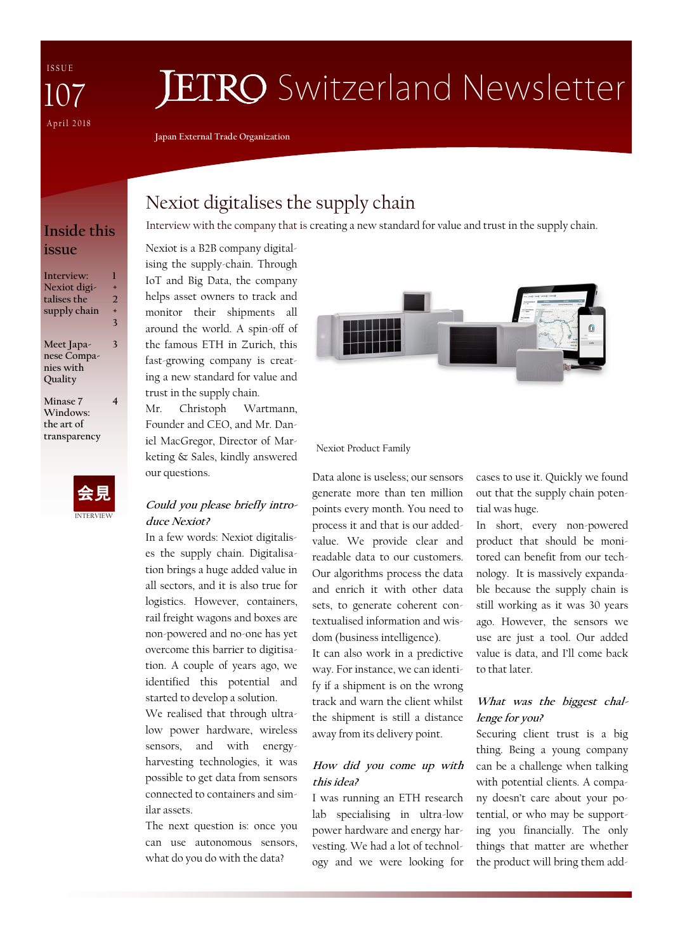I S S U E April 2018 107

# **JETRO** Switzerland Newsletter

**Japan External Trade Organization**

## **issue**

| Interview:   | ı              |
|--------------|----------------|
| Nexiot digi- | $\ddot{}$      |
| talises the  | $\mathcal{D}$  |
| supply chain | $\overline{+}$ |
|              | 3              |
| Meet Japa-   | 3              |
| nese Compa-  |                |
| nies with    |                |
| Ouality      |                |
| Minase 7     | 4              |
| Windows:     |                |
| the art of   |                |
| transparency |                |
|              |                |
|              |                |
|              |                |



## Nexiot digitalises the supply chain

Interview with the company that is creating a new standard for value and trust in the supply chain. **Inside this** 

Nexiot is a B2B company digitalising the supply-chain. Through IoT and Big Data, the company helps asset owners to track and monitor their shipments all around the world. A spin-off of the famous ETH in Zurich, this fast-growing company is creating a new standard for value and trust in the supply chain.

Mr. Christoph Wartmann, Founder and CEO, and Mr. Daniel MacGregor, Director of Marketing & Sales, kindly answered our questions.

#### **Could you please briefly introduce Nexiot?**

In a few words: Nexiot digitalises the supply chain. Digitalisation brings a huge added value in all sectors, and it is also true for logistics. However, containers, rail freight wagons and boxes are non-powered and no-one has yet overcome this barrier to digitisation. A couple of years ago, we identified this potential and started to develop a solution.

We realised that through ultralow power hardware, wireless sensors, and with energyharvesting technologies, it was possible to get data from sensors connected to containers and similar assets.

The next question is: once you can use autonomous sensors, what do you do with the data?



#### Nexiot Product Family

Data alone is useless; our sensors generate more than ten million points every month. You need to process it and that is our addedvalue. We provide clear and readable data to our customers. Our algorithms process the data and enrich it with other data sets, to generate coherent contextualised information and wisdom (business intelligence).

It can also work in a predictive way. For instance, we can identify if a shipment is on the wrong track and warn the client whilst the shipment is still a distance away from its delivery point.

#### **How did you come up with this idea?**

I was running an ETH research lab specialising in ultra-low power hardware and energy harvesting. We had a lot of technology and we were looking for

cases to use it. Quickly we found out that the supply chain potential was huge.

In short, every non-powered product that should be monitored can benefit from our technology. It is massively expandable because the supply chain is still working as it was 30 years ago. However, the sensors we use are just a tool. Our added value is data, and I'll come back to that later.

#### **What was the biggest challenge for you?**

Securing client trust is a big thing. Being a young company can be a challenge when talking with potential clients. A company doesn't care about your potential, or who may be supporting you financially. The only things that matter are whether the product will bring them add-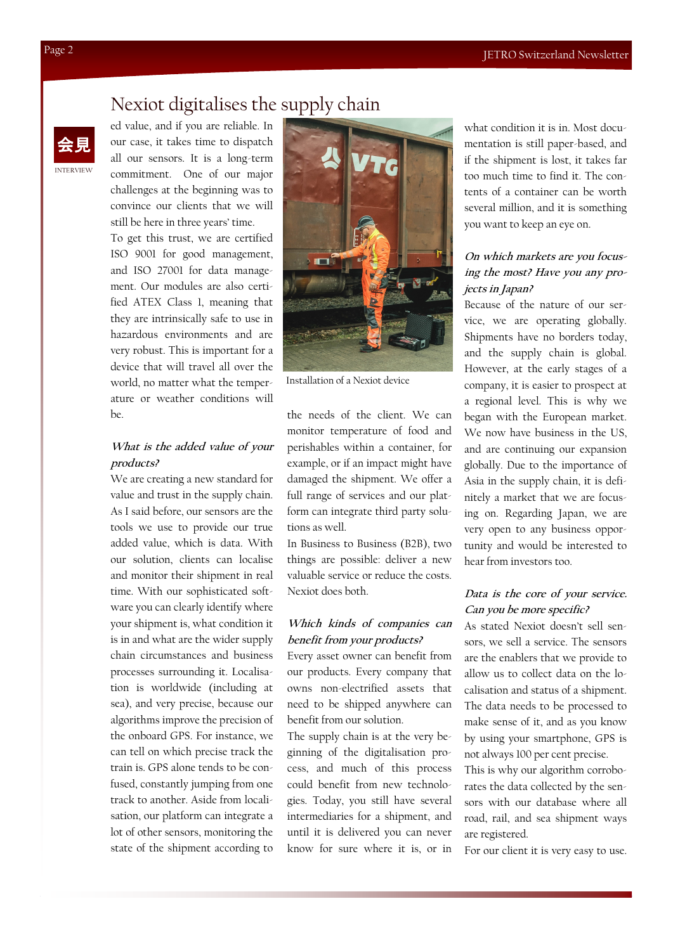## Nexiot digitalises the supply chain



ed value, and if you are reliable. In our case, it takes time to dispatch all our sensors. It is a long-term commitment. One of our major challenges at the beginning was to convince our clients that we will still be here in three years' time.

To get this trust, we are certified ISO 9001 for good management, and ISO 27001 for data management. Our modules are also certified ATEX Class 1, meaning that they are intrinsically safe to use in hazardous environments and are very robust. This is important for a device that will travel all over the world, no matter what the temperature or weather conditions will  $he$ 

#### **What is the added value of your products?**

We are creating a new standard for value and trust in the supply chain. As I said before, our sensors are the tools we use to provide our true added value, which is data. With our solution, clients can localise and monitor their shipment in real time. With our sophisticated software you can clearly identify where your shipment is, what condition it is in and what are the wider supply chain circumstances and business processes surrounding it. Localisation is worldwide (including at sea), and very precise, because our algorithms improve the precision of the onboard GPS. For instance, we can tell on which precise track the train is. GPS alone tends to be confused, constantly jumping from one track to another. Aside from localisation, our platform can integrate a lot of other sensors, monitoring the state of the shipment according to



Installation of a Nexiot device

the needs of the client. We can monitor temperature of food and perishables within a container, for example, or if an impact might have damaged the shipment. We offer a full range of services and our platform can integrate third party solutions as well.

In Business to Business (B2B), two things are possible: deliver a new valuable service or reduce the costs. Nexiot does both.

#### **Which kinds of companies can benefit from your products?**

Every asset owner can benefit from our products. Every company that owns non-electrified assets that need to be shipped anywhere can benefit from our solution.

The supply chain is at the very beginning of the digitalisation process, and much of this process could benefit from new technologies. Today, you still have several intermediaries for a shipment, and until it is delivered you can never know for sure where it is, or in what condition it is in. Most documentation is still paper-based, and if the shipment is lost, it takes far too much time to find it. The contents of a container can be worth several million, and it is something you want to keep an eye on.

#### **On which markets are you focusing the most? Have you any projects in Japan?**

Because of the nature of our service, we are operating globally. Shipments have no borders today, and the supply chain is global. However, at the early stages of a company, it is easier to prospect at a regional level. This is why we began with the European market. We now have business in the US, and are continuing our expansion globally. Due to the importance of Asia in the supply chain, it is definitely a market that we are focusing on. Regarding Japan, we are very open to any business opportunity and would be interested to hear from investors too.

#### **Data is the core of your service. Can you be more specific?**

As stated Nexiot doesn't sell sensors, we sell a service. The sensors are the enablers that we provide to allow us to collect data on the localisation and status of a shipment. The data needs to be processed to make sense of it, and as you know by using your smartphone, GPS is not always 100 per cent precise.

This is why our algorithm corroborates the data collected by the sensors with our database where all road, rail, and sea shipment ways are registered.

For our client it is very easy to use.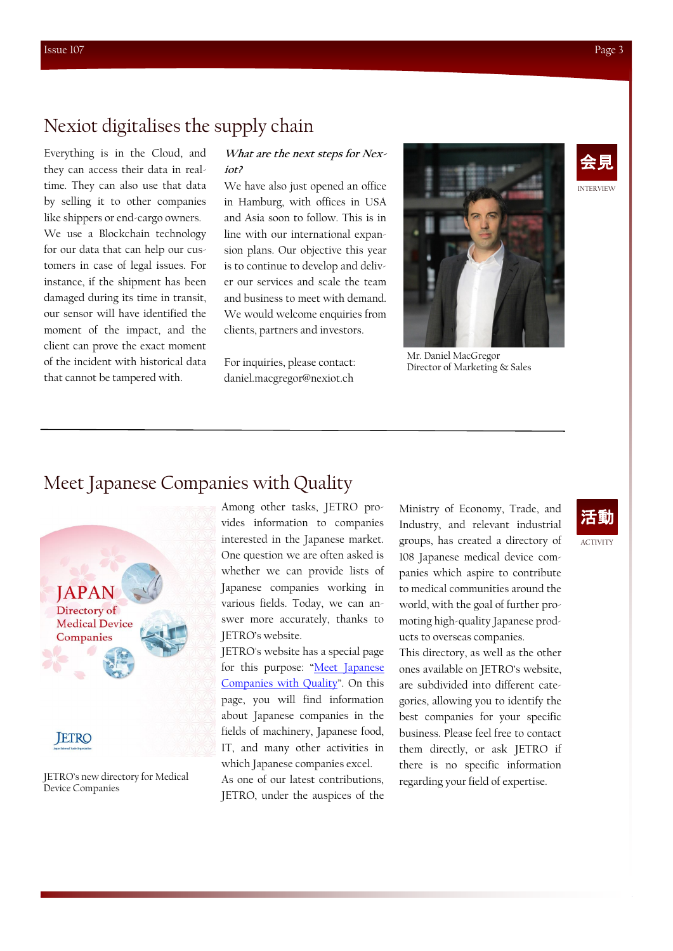## Nexiot digitalises the supply chain

Everything is in the Cloud, and they can access their data in realtime. They can also use that data by selling it to other companies like shippers or end-cargo owners. We use a Blockchain technology for our data that can help our customers in case of legal issues. For instance, if the shipment has been damaged during its time in transit, our sensor will have identified the moment of the impact, and the client can prove the exact moment of the incident with historical data that cannot be tampered with.

#### **What are the next steps for Nexiot?**

We have also just opened an office in Hamburg, with offices in USA and Asia soon to follow. This is in line with our international expansion plans. Our objective this year is to continue to develop and deliver our services and scale the team and business to meet with demand. We would welcome enquiries from clients, partners and investors.

For inquiries, please contact: daniel.macgregor@nexiot.ch





#### Mr. Daniel MacGregor Director of Marketing & Sales

### Meet Japanese Companies with Quality





JETRO's new directory for Medical Device Companies

Among other tasks, JETRO provides information to companies interested in the Japanese market. One question we are often asked is whether we can provide lists of Japanese companies working in various fields. Today, we can answer more accurately, thanks to JETRO's website.

JETRO's website has a special page for this purpose: "Meet Japanese [Companies with Quality](https://www.jetro.go.jp/en/mjcompany.html)". On this page, you will find information about Japanese companies in the fields of machinery, Japanese food, IT, and many other activities in which Japanese companies excel.

As one of our latest contributions, JETRO, under the auspices of the Ministry of Economy, Trade, and Industry, and relevant industrial groups, has created a directory of 108 Japanese medical device companies which aspire to contribute to medical communities around the world, with the goal of further promoting high-quality Japanese products to overseas companies.

This directory, as well as the other ones available on JETRO's website, are subdivided into different categories, allowing you to identify the best companies for your specific business. Please feel free to contact them directly, or ask JETRO if there is no specific information regarding your field of expertise.

## 活動

ACTIVITY